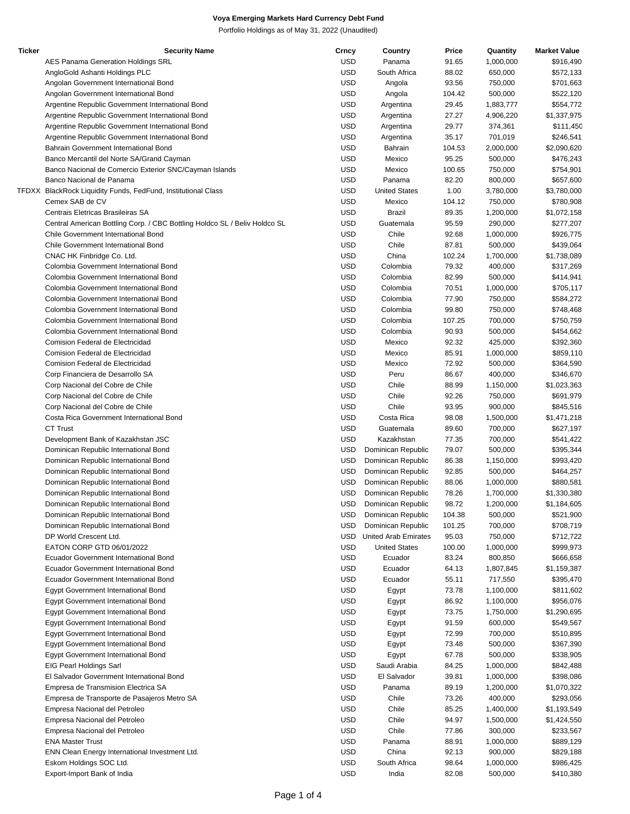Portfolio Holdings as of May 31, 2022 (Unaudited)

| <b>Ticker</b> | <b>Security Name</b>                                                       | Crncy      | Country                     | Price  | Quantity  | <b>Market Value</b> |
|---------------|----------------------------------------------------------------------------|------------|-----------------------------|--------|-----------|---------------------|
|               | AES Panama Generation Holdings SRL                                         | <b>USD</b> | Panama                      | 91.65  | 1,000,000 | \$916,490           |
|               | AngloGold Ashanti Holdings PLC                                             | <b>USD</b> | South Africa                | 88.02  | 650,000   | \$572,133           |
|               | Angolan Government International Bond                                      | <b>USD</b> | Angola                      | 93.56  | 750,000   | \$701,663           |
|               | Angolan Government International Bond                                      | <b>USD</b> | Angola                      | 104.42 | 500,000   | \$522,120           |
|               | Argentine Republic Government International Bond                           | <b>USD</b> | Argentina                   | 29.45  | 1,883,777 | \$554,772           |
|               | Argentine Republic Government International Bond                           | <b>USD</b> | Argentina                   | 27.27  | 4,906,220 | \$1,337,975         |
|               | Argentine Republic Government International Bond                           | <b>USD</b> | Argentina                   | 29.77  | 374,361   | \$111,450           |
|               | Argentine Republic Government International Bond                           | <b>USD</b> | Argentina                   | 35.17  | 701,019   | \$246,541           |
|               | Bahrain Government International Bond                                      | <b>USD</b> | Bahrain                     | 104.53 | 2,000,000 | \$2,090,620         |
|               | Banco Mercantil del Norte SA/Grand Cayman                                  | <b>USD</b> | Mexico                      | 95.25  | 500,000   | \$476,243           |
|               | Banco Nacional de Comercio Exterior SNC/Cayman Islands                     | <b>USD</b> | Mexico                      | 100.65 | 750,000   | \$754,901           |
|               | Banco Nacional de Panama                                                   | <b>USD</b> | Panama                      | 82.20  | 800,000   | \$657,600           |
|               | TFDXX BlackRock Liquidity Funds, FedFund, Institutional Class              | <b>USD</b> | <b>United States</b>        | 1.00   | 3,780,000 | \$3,780,000         |
|               | Cemex SAB de CV                                                            | <b>USD</b> | Mexico                      | 104.12 | 750,000   | \$780,908           |
|               | Centrais Eletricas Brasileiras SA                                          | <b>USD</b> | Brazil                      | 89.35  | 1,200,000 | \$1,072,158         |
|               | Central American Bottling Corp. / CBC Bottling Holdco SL / Beliv Holdco SL | <b>USD</b> | Guatemala                   | 95.59  | 290,000   | \$277,207           |
|               | Chile Government International Bond                                        | <b>USD</b> | Chile                       | 92.68  | 1,000,000 | \$926,775           |
|               | Chile Government International Bond                                        | <b>USD</b> | Chile                       | 87.81  | 500,000   | \$439,064           |
|               | CNAC HK Finbridge Co. Ltd.                                                 | <b>USD</b> | China                       | 102.24 | 1,700,000 | \$1,738,089         |
|               | Colombia Government International Bond                                     | <b>USD</b> | Colombia                    | 79.32  | 400,000   | \$317,269           |
|               | Colombia Government International Bond                                     | <b>USD</b> | Colombia                    | 82.99  | 500,000   | \$414,941           |
|               | Colombia Government International Bond                                     | <b>USD</b> | Colombia                    | 70.51  | 1,000,000 | \$705,117           |
|               | Colombia Government International Bond                                     | <b>USD</b> | Colombia                    | 77.90  | 750,000   | \$584,272           |
|               | Colombia Government International Bond                                     | <b>USD</b> | Colombia                    | 99.80  | 750,000   | \$748,468           |
|               | Colombia Government International Bond                                     | <b>USD</b> | Colombia                    | 107.25 | 700,000   | \$750,759           |
|               | Colombia Government International Bond                                     | <b>USD</b> | Colombia                    | 90.93  | 500,000   | \$454,662           |
|               | Comision Federal de Electricidad                                           | <b>USD</b> | Mexico                      | 92.32  | 425,000   | \$392,360           |
|               | Comision Federal de Electricidad                                           | <b>USD</b> | Mexico                      | 85.91  | 1,000,000 | \$859,110           |
|               | Comision Federal de Electricidad                                           | <b>USD</b> | Mexico                      | 72.92  | 500,000   | \$364,590           |
|               | Corp Financiera de Desarrollo SA                                           | <b>USD</b> | Peru                        | 86.67  | 400,000   | \$346,670           |
|               | Corp Nacional del Cobre de Chile                                           | <b>USD</b> | Chile                       | 88.99  | 1,150,000 | \$1,023,363         |
|               | Corp Nacional del Cobre de Chile                                           | <b>USD</b> | Chile                       | 92.26  | 750,000   | \$691,979           |
|               | Corp Nacional del Cobre de Chile                                           | <b>USD</b> | Chile                       | 93.95  | 900,000   | \$845,516           |
|               | Costa Rica Government International Bond                                   | <b>USD</b> | Costa Rica                  | 98.08  | 1,500,000 | \$1,471,218         |
|               | <b>CT Trust</b>                                                            | <b>USD</b> | Guatemala                   | 89.60  | 700,000   | \$627,197           |
|               | Development Bank of Kazakhstan JSC                                         | <b>USD</b> | Kazakhstan                  | 77.35  | 700,000   | \$541,422           |
|               | Dominican Republic International Bond                                      | <b>USD</b> | Dominican Republic          | 79.07  | 500,000   | \$395,344           |
|               | Dominican Republic International Bond                                      | <b>USD</b> | Dominican Republic          | 86.38  | 1,150,000 | \$993,420           |
|               | Dominican Republic International Bond                                      | <b>USD</b> | Dominican Republic          | 92.85  | 500,000   | \$464,257           |
|               | Dominican Republic International Bond                                      | <b>USD</b> | Dominican Republic          | 88.06  | 1,000,000 | \$880,581           |
|               | Dominican Republic International Bond                                      | <b>USD</b> | Dominican Republic          | 78.26  | 1,700,000 | \$1,330,380         |
|               | Dominican Republic International Bond                                      | USD.       | Dominican Republic          | 98.72  | 1,200,000 | \$1,184,605         |
|               | Dominican Republic International Bond                                      | USD.       | Dominican Republic          | 104.38 | 500,000   | \$521,900           |
|               | Dominican Republic International Bond                                      | <b>USD</b> | Dominican Republic          | 101.25 | 700,000   | \$708,719           |
|               | DP World Crescent Ltd.                                                     | USD        | <b>United Arab Emirates</b> | 95.03  | 750,000   | \$712,722           |
|               | EATON CORP GTD 06/01/2022                                                  | <b>USD</b> | <b>United States</b>        | 100.00 | 1,000,000 | \$999,973           |
|               | Ecuador Government International Bond                                      | <b>USD</b> | Ecuador                     | 83.24  | 800,850   | \$666,658           |
|               | <b>Ecuador Government International Bond</b>                               | <b>USD</b> | Ecuador                     | 64.13  | 1,807,845 | \$1,159,387         |
|               | <b>Ecuador Government International Bond</b>                               | <b>USD</b> | Ecuador                     | 55.11  | 717,550   | \$395,470           |
|               | <b>Egypt Government International Bond</b>                                 | <b>USD</b> | Egypt                       | 73.78  | 1,100,000 | \$811,602           |
|               | Egypt Government International Bond                                        | <b>USD</b> | Egypt                       | 86.92  | 1,100,000 | \$956,076           |
|               | Egypt Government International Bond                                        | <b>USD</b> | Egypt                       | 73.75  | 1,750,000 | \$1,290,695         |
|               | <b>Egypt Government International Bond</b>                                 | <b>USD</b> | Egypt                       | 91.59  | 600,000   | \$549,567           |
|               | <b>Egypt Government International Bond</b>                                 | <b>USD</b> | Egypt                       | 72.99  | 700,000   | \$510,895           |
|               | Egypt Government International Bond                                        | <b>USD</b> | Egypt                       | 73.48  | 500,000   | \$367,390           |
|               | <b>Egypt Government International Bond</b>                                 | <b>USD</b> | Egypt                       | 67.78  | 500,000   | \$338,905           |
|               | EIG Pearl Holdings Sarl                                                    | <b>USD</b> | Saudi Arabia                | 84.25  | 1,000,000 | \$842,488           |
|               | El Salvador Government International Bond                                  | <b>USD</b> | El Salvador                 | 39.81  | 1,000,000 | \$398,086           |
|               | Empresa de Transmision Electrica SA                                        | <b>USD</b> | Panama                      | 89.19  | 1,200,000 | \$1,070,322         |
|               | Empresa de Transporte de Pasajeros Metro SA                                | <b>USD</b> | Chile                       | 73.26  | 400,000   | \$293,056           |
|               | Empresa Nacional del Petroleo                                              | <b>USD</b> | Chile                       | 85.25  | 1,400,000 | \$1,193,549         |
|               | Empresa Nacional del Petroleo                                              | <b>USD</b> | Chile                       | 94.97  | 1,500,000 | \$1,424,550         |
|               | Empresa Nacional del Petroleo                                              | <b>USD</b> | Chile                       | 77.86  | 300,000   | \$233,567           |
|               | <b>ENA Master Trust</b>                                                    | <b>USD</b> | Panama                      | 88.91  | 1,000,000 | \$889,129           |
|               | ENN Clean Energy International Investment Ltd.                             | <b>USD</b> | China                       | 92.13  | 900,000   | \$829,188           |
|               | Eskom Holdings SOC Ltd.                                                    | <b>USD</b> | South Africa                | 98.64  | 1,000,000 | \$986,425           |
|               | Export-Import Bank of India                                                | <b>USD</b> | India                       | 82.08  | 500,000   | \$410,380           |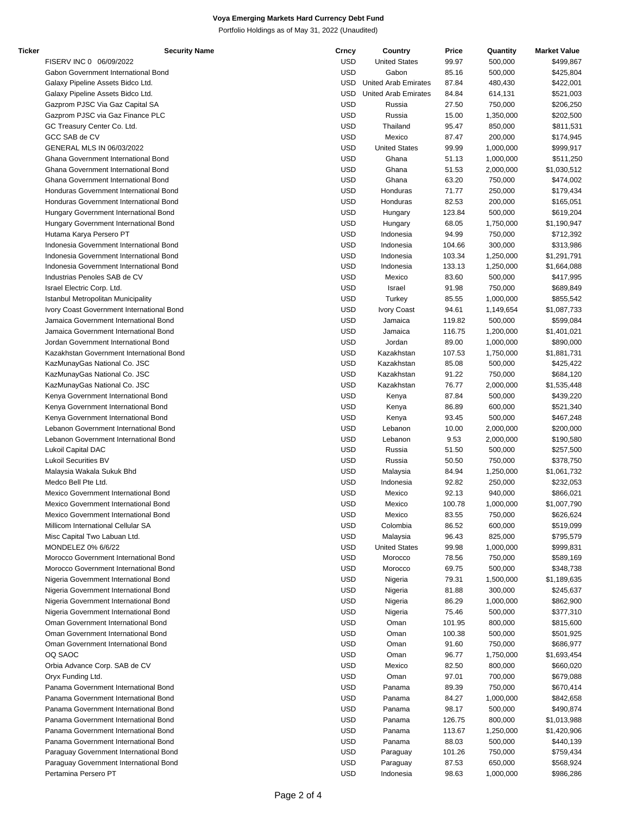Portfolio Holdings as of May 31, 2022 (Unaudited)

| Ticker | <b>Security Name</b>                      | Crncy      | Country                     | Price  | Quantity  | <b>Market Value</b> |
|--------|-------------------------------------------|------------|-----------------------------|--------|-----------|---------------------|
|        | FISERV INC 0 06/09/2022                   | <b>USD</b> | <b>United States</b>        | 99.97  | 500,000   | \$499,867           |
|        | Gabon Government International Bond       | <b>USD</b> | Gabon                       | 85.16  | 500,000   | \$425,804           |
|        | Galaxy Pipeline Assets Bidco Ltd.         | USD        | <b>United Arab Emirates</b> | 87.84  | 480,430   | \$422,001           |
|        | Galaxy Pipeline Assets Bidco Ltd.         | <b>USD</b> | <b>United Arab Emirates</b> | 84.84  | 614,131   | \$521,003           |
|        | Gazprom PJSC Via Gaz Capital SA           | <b>USD</b> | Russia                      | 27.50  | 750,000   | \$206,250           |
|        | Gazprom PJSC via Gaz Finance PLC          | <b>USD</b> | Russia                      | 15.00  | 1,350,000 |                     |
|        |                                           |            |                             |        |           | \$202,500           |
|        | GC Treasury Center Co. Ltd.               | <b>USD</b> | Thailand                    | 95.47  | 850,000   | \$811,531           |
|        | GCC SAB de CV                             | <b>USD</b> | Mexico                      | 87.47  | 200,000   | \$174,945           |
|        | GENERAL MLS IN 06/03/2022                 | <b>USD</b> | <b>United States</b>        | 99.99  | 1,000,000 | \$999,917           |
|        | Ghana Government International Bond       | <b>USD</b> | Ghana                       | 51.13  | 1,000,000 | \$511,250           |
|        | Ghana Government International Bond       | <b>USD</b> | Ghana                       | 51.53  | 2,000,000 | \$1,030,512         |
|        | Ghana Government International Bond       | <b>USD</b> | Ghana                       | 63.20  | 750,000   | \$474,002           |
|        | Honduras Government International Bond    | <b>USD</b> | Honduras                    | 71.77  | 250,000   | \$179,434           |
|        | Honduras Government International Bond    | <b>USD</b> | Honduras                    | 82.53  | 200,000   | \$165,051           |
|        | Hungary Government International Bond     | <b>USD</b> | Hungary                     | 123.84 | 500,000   | \$619,204           |
|        | Hungary Government International Bond     | <b>USD</b> | Hungary                     | 68.05  | 1,750,000 | \$1,190,947         |
|        | Hutama Karya Persero PT                   | <b>USD</b> | Indonesia                   | 94.99  | 750,000   | \$712,392           |
|        | Indonesia Government International Bond   | <b>USD</b> | Indonesia                   | 104.66 | 300,000   | \$313,986           |
|        | Indonesia Government International Bond   | <b>USD</b> | Indonesia                   | 103.34 | 1,250,000 | \$1,291,791         |
|        | Indonesia Government International Bond   | <b>USD</b> | Indonesia                   | 133.13 | 1,250,000 | \$1,664,088         |
|        | Industrias Penoles SAB de CV              | <b>USD</b> | Mexico                      |        |           | \$417,995           |
|        |                                           |            |                             | 83.60  | 500,000   |                     |
|        | Israel Electric Corp. Ltd.                | <b>USD</b> | Israel                      | 91.98  | 750,000   | \$689,849           |
|        | Istanbul Metropolitan Municipality        | <b>USD</b> | Turkey                      | 85.55  | 1,000,000 | \$855,542           |
|        | Ivory Coast Government International Bond | <b>USD</b> | <b>Ivory Coast</b>          | 94.61  | 1,149,654 | \$1,087,733         |
|        | Jamaica Government International Bond     | <b>USD</b> | Jamaica                     | 119.82 | 500,000   | \$599,084           |
|        | Jamaica Government International Bond     | <b>USD</b> | Jamaica                     | 116.75 | 1,200,000 | \$1,401,021         |
|        | Jordan Government International Bond      | <b>USD</b> | Jordan                      | 89.00  | 1,000,000 | \$890,000           |
|        | Kazakhstan Government International Bond  | <b>USD</b> | Kazakhstan                  | 107.53 | 1,750,000 | \$1,881,731         |
|        | KazMunayGas National Co. JSC              | <b>USD</b> | Kazakhstan                  | 85.08  | 500,000   | \$425,422           |
|        | KazMunayGas National Co. JSC              | <b>USD</b> | Kazakhstan                  | 91.22  | 750,000   | \$684,120           |
|        | KazMunayGas National Co. JSC              | <b>USD</b> | Kazakhstan                  | 76.77  | 2,000,000 | \$1,535,448         |
|        | Kenya Government International Bond       | <b>USD</b> | Kenya                       | 87.84  | 500,000   | \$439,220           |
|        | Kenya Government International Bond       | <b>USD</b> | Kenya                       | 86.89  | 600,000   | \$521,340           |
|        | Kenya Government International Bond       | <b>USD</b> | Kenya                       | 93.45  | 500,000   | \$467,248           |
|        | Lebanon Government International Bond     | <b>USD</b> | Lebanon                     | 10.00  | 2,000,000 | \$200,000           |
|        |                                           | <b>USD</b> |                             |        |           |                     |
|        | Lebanon Government International Bond     |            | Lebanon                     | 9.53   | 2,000,000 | \$190,580           |
|        | Lukoil Capital DAC                        | <b>USD</b> | Russia                      | 51.50  | 500,000   | \$257,500           |
|        | <b>Lukoil Securities BV</b>               | <b>USD</b> | Russia                      | 50.50  | 750,000   | \$378,750           |
|        | Malaysia Wakala Sukuk Bhd                 | <b>USD</b> | Malaysia                    | 84.94  | 1,250,000 | \$1,061,732         |
|        | Medco Bell Pte Ltd.                       | <b>USD</b> | Indonesia                   | 92.82  | 250,000   | \$232,053           |
|        | Mexico Government International Bond      | <b>USD</b> | Mexico                      | 92.13  | 940,000   | \$866,021           |
|        | Mexico Government International Bond      | USD        | Mexico                      | 100.78 | 1,000,000 | \$1,007,790         |
|        | Mexico Government International Bond      | <b>USD</b> | Mexico                      | 83.55  | 750,000   | \$626,624           |
|        | Millicom International Cellular SA        | <b>USD</b> | Colombia                    | 86.52  | 600,000   | \$519,099           |
|        | Misc Capital Two Labuan Ltd.              | <b>USD</b> | Malaysia                    | 96.43  | 825,000   | \$795,579           |
|        | MONDELEZ 0% 6/6/22                        | <b>USD</b> | <b>United States</b>        | 99.98  | 1,000,000 | \$999,831           |
|        | Morocco Government International Bond     | <b>USD</b> | Morocco                     | 78.56  | 750,000   | \$589,169           |
|        | Morocco Government International Bond     | <b>USD</b> | Morocco                     | 69.75  | 500,000   | \$348,738           |
|        | Nigeria Government International Bond     | <b>USD</b> | Nigeria                     | 79.31  | 1,500,000 | \$1,189,635         |
|        | Nigeria Government International Bond     | <b>USD</b> |                             | 81.88  | 300,000   | \$245,637           |
|        |                                           |            | Nigeria                     |        |           |                     |
|        | Nigeria Government International Bond     | <b>USD</b> | Nigeria                     | 86.29  | 1,000,000 | \$862,900           |
|        | Nigeria Government International Bond     | <b>USD</b> | Nigeria                     | 75.46  | 500,000   | \$377,310           |
|        | Oman Government International Bond        | <b>USD</b> | Oman                        | 101.95 | 800,000   | \$815,600           |
|        | Oman Government International Bond        | <b>USD</b> | Oman                        | 100.38 | 500,000   | \$501,925           |
|        | Oman Government International Bond        | <b>USD</b> | Oman                        | 91.60  | 750,000   | \$686,977           |
|        | OQ SAOC                                   | <b>USD</b> | Oman                        | 96.77  | 1,750,000 | \$1,693,454         |
|        | Orbia Advance Corp. SAB de CV             | <b>USD</b> | Mexico                      | 82.50  | 800,000   | \$660,020           |
|        | Oryx Funding Ltd.                         | <b>USD</b> | Oman                        | 97.01  | 700,000   | \$679,088           |
|        | Panama Government International Bond      | <b>USD</b> | Panama                      | 89.39  | 750,000   | \$670,414           |
|        | Panama Government International Bond      | <b>USD</b> | Panama                      | 84.27  | 1,000,000 | \$842,658           |
|        | Panama Government International Bond      | <b>USD</b> | Panama                      | 98.17  | 500,000   | \$490,874           |
|        | Panama Government International Bond      | <b>USD</b> | Panama                      | 126.75 | 800,000   | \$1,013,988         |
|        | Panama Government International Bond      | <b>USD</b> | Panama                      | 113.67 | 1,250,000 | \$1,420,906         |
|        | Panama Government International Bond      | <b>USD</b> | Panama                      | 88.03  | 500,000   | \$440,139           |
|        |                                           |            |                             |        |           |                     |
|        | Paraguay Government International Bond    | <b>USD</b> | Paraguay                    | 101.26 | 750,000   | \$759,434           |
|        | Paraguay Government International Bond    | <b>USD</b> | Paraguay                    | 87.53  | 650,000   | \$568,924           |
|        | Pertamina Persero PT                      | <b>USD</b> | Indonesia                   | 98.63  | 1,000,000 | \$986,286           |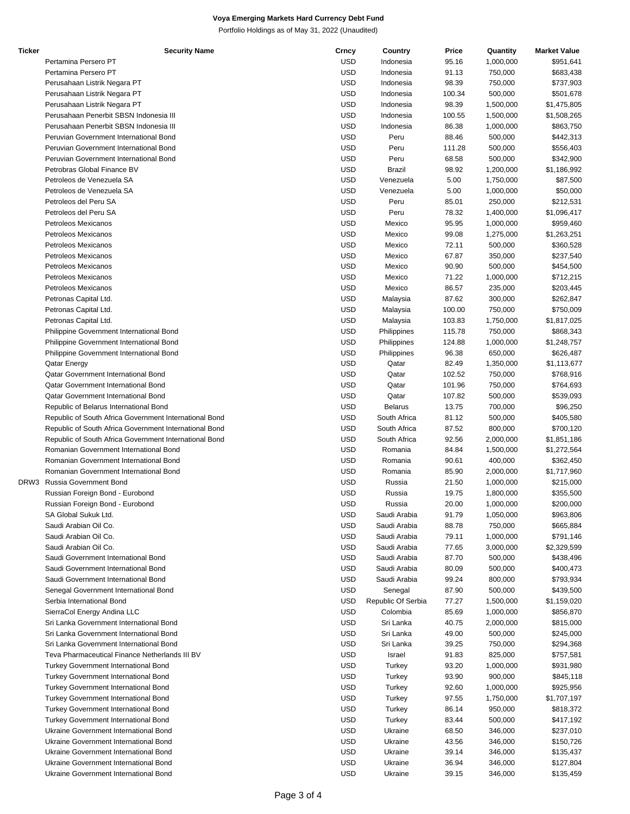Portfolio Holdings as of May 31, 2022 (Unaudited)

| Ticker | <b>Security Name</b>                                   | Crncy      | Country            | Price  | Quantity  | <b>Market Value</b> |
|--------|--------------------------------------------------------|------------|--------------------|--------|-----------|---------------------|
|        | Pertamina Persero PT                                   | <b>USD</b> | Indonesia          | 95.16  | 1,000,000 | \$951,641           |
|        | Pertamina Persero PT                                   | <b>USD</b> | Indonesia          | 91.13  | 750,000   | \$683,438           |
|        | Perusahaan Listrik Negara PT                           | <b>USD</b> | Indonesia          | 98.39  | 750,000   | \$737,903           |
|        | Perusahaan Listrik Negara PT                           | <b>USD</b> | Indonesia          | 100.34 | 500,000   | \$501,678           |
|        |                                                        |            |                    |        |           |                     |
|        | Perusahaan Listrik Negara PT                           | <b>USD</b> | Indonesia          | 98.39  | 1,500,000 | \$1,475,805         |
|        | Perusahaan Penerbit SBSN Indonesia III                 | <b>USD</b> | Indonesia          | 100.55 | 1,500,000 | \$1,508,265         |
|        | Perusahaan Penerbit SBSN Indonesia III                 | <b>USD</b> | Indonesia          | 86.38  | 1,000,000 | \$863,750           |
|        | Peruvian Government International Bond                 | <b>USD</b> | Peru               | 88.46  | 500,000   | \$442,313           |
|        | Peruvian Government International Bond                 | <b>USD</b> | Peru               | 111.28 | 500,000   | \$556,403           |
|        | Peruvian Government International Bond                 | <b>USD</b> | Peru               | 68.58  | 500,000   | \$342,900           |
|        | Petrobras Global Finance BV                            | <b>USD</b> | <b>Brazil</b>      | 98.92  | 1,200,000 | \$1,186,992         |
|        | Petroleos de Venezuela SA                              | <b>USD</b> | Venezuela          | 5.00   | 1,750,000 | \$87,500            |
|        |                                                        | <b>USD</b> |                    |        |           |                     |
|        | Petroleos de Venezuela SA                              |            | Venezuela          | 5.00   | 1,000,000 | \$50,000            |
|        | Petroleos del Peru SA                                  | <b>USD</b> | Peru               | 85.01  | 250,000   | \$212,531           |
|        | Petroleos del Peru SA                                  | <b>USD</b> | Peru               | 78.32  | 1,400,000 | \$1,096,417         |
|        | <b>Petroleos Mexicanos</b>                             | <b>USD</b> | Mexico             | 95.95  | 1,000,000 | \$959,460           |
|        | Petroleos Mexicanos                                    | <b>USD</b> | Mexico             | 99.08  | 1,275,000 | \$1,263,251         |
|        | <b>Petroleos Mexicanos</b>                             | <b>USD</b> | Mexico             | 72.11  | 500,000   | \$360,528           |
|        | <b>Petroleos Mexicanos</b>                             | <b>USD</b> | Mexico             | 67.87  | 350,000   | \$237,540           |
|        | Petroleos Mexicanos                                    | <b>USD</b> | Mexico             | 90.90  | 500,000   | \$454,500           |
|        |                                                        |            |                    |        |           |                     |
|        | Petroleos Mexicanos                                    | <b>USD</b> | Mexico             | 71.22  | 1,000,000 | \$712,215           |
|        | Petroleos Mexicanos                                    | <b>USD</b> | Mexico             | 86.57  | 235,000   | \$203,445           |
|        | Petronas Capital Ltd.                                  | <b>USD</b> | Malaysia           | 87.62  | 300,000   | \$262,847           |
|        | Petronas Capital Ltd.                                  | <b>USD</b> | Malaysia           | 100.00 | 750,000   | \$750,009           |
|        | Petronas Capital Ltd.                                  | <b>USD</b> | Malaysia           | 103.83 | 1,750,000 | \$1,817,025         |
|        | Philippine Government International Bond               | <b>USD</b> | Philippines        | 115.78 | 750,000   | \$868,343           |
|        | Philippine Government International Bond               | <b>USD</b> | Philippines        | 124.88 | 1,000,000 | \$1,248,757         |
|        |                                                        |            |                    |        |           |                     |
|        | Philippine Government International Bond               | <b>USD</b> | Philippines        | 96.38  | 650,000   | \$626,487           |
|        | Qatar Energy                                           | <b>USD</b> | Qatar              | 82.49  | 1,350,000 | \$1,113,677         |
|        | Qatar Government International Bond                    | <b>USD</b> | Qatar              | 102.52 | 750,000   | \$768,916           |
|        | <b>Qatar Government International Bond</b>             | <b>USD</b> | Qatar              | 101.96 | 750,000   | \$764,693           |
|        | Qatar Government International Bond                    | <b>USD</b> | Qatar              | 107.82 | 500,000   | \$539,093           |
|        | Republic of Belarus International Bond                 | <b>USD</b> | <b>Belarus</b>     | 13.75  | 700,000   | \$96,250            |
|        | Republic of South Africa Government International Bond | <b>USD</b> | South Africa       | 81.12  | 500,000   | \$405,580           |
|        |                                                        |            |                    |        |           |                     |
|        | Republic of South Africa Government International Bond | <b>USD</b> | South Africa       | 87.52  | 800,000   | \$700,120           |
|        | Republic of South Africa Government International Bond | <b>USD</b> | South Africa       | 92.56  | 2,000,000 | \$1,851,186         |
|        | Romanian Government International Bond                 | <b>USD</b> | Romania            | 84.84  | 1,500,000 | \$1,272,564         |
|        | Romanian Government International Bond                 | <b>USD</b> | Romania            | 90.61  | 400,000   | \$362,450           |
|        | Romanian Government International Bond                 | <b>USD</b> | Romania            | 85.90  | 2,000,000 | \$1,717,960         |
| DRW3   | Russia Government Bond                                 | <b>USD</b> | Russia             | 21.50  | 1,000,000 | \$215,000           |
|        | Russian Foreign Bond - Eurobond                        | <b>USD</b> | Russia             | 19.75  | 1,800,000 | \$355,500           |
|        | Russian Foreign Bond - Eurobond                        | <b>USD</b> | Russia             | 20.00  | 1,000,000 | \$200,000           |
|        |                                                        | <b>USD</b> |                    |        |           |                     |
|        | SA Global Sukuk Ltd.                                   |            | Saudi Arabia       | 91.79  | 1,050,000 | \$963,806           |
|        | Saudi Arabian Oil Co.                                  | <b>USD</b> | Saudi Arabia       | 88.78  | 750,000   | \$665,884           |
|        | Saudi Arabian Oil Co.                                  | <b>USD</b> | Saudi Arabia       | 79.11  | 1,000,000 | \$791,146           |
|        | Saudi Arabian Oil Co.                                  | <b>USD</b> | Saudi Arabia       | 77.65  | 3,000,000 | \$2,329,599         |
|        | Saudi Government International Bond                    | <b>USD</b> | Saudi Arabia       | 87.70  | 500,000   | \$438,496           |
|        | Saudi Government International Bond                    | <b>USD</b> | Saudi Arabia       | 80.09  | 500,000   | \$400,473           |
|        | Saudi Government International Bond                    | <b>USD</b> | Saudi Arabia       | 99.24  | 800,000   | \$793,934           |
|        | Senegal Government International Bond                  | <b>USD</b> | Senegal            | 87.90  | 500,000   | \$439,500           |
|        |                                                        |            |                    |        |           |                     |
|        | Serbia International Bond                              | <b>USD</b> | Republic Of Serbia | 77.27  | 1,500,000 | \$1,159,020         |
|        | SierraCol Energy Andina LLC                            | <b>USD</b> | Colombia           | 85.69  | 1,000,000 | \$856,870           |
|        | Sri Lanka Government International Bond                | <b>USD</b> | Sri Lanka          | 40.75  | 2,000,000 | \$815,000           |
|        | Sri Lanka Government International Bond                | <b>USD</b> | Sri Lanka          | 49.00  | 500,000   | \$245,000           |
|        | Sri Lanka Government International Bond                | <b>USD</b> | Sri Lanka          | 39.25  | 750,000   | \$294,368           |
|        | Teva Pharmaceutical Finance Netherlands III BV         | <b>USD</b> | Israel             | 91.83  | 825,000   | \$757,581           |
|        | <b>Turkey Government International Bond</b>            | <b>USD</b> | Turkey             | 93.20  | 1,000,000 | \$931,980           |
|        |                                                        |            |                    |        |           |                     |
|        | <b>Turkey Government International Bond</b>            | <b>USD</b> | Turkey             | 93.90  | 900,000   | \$845,118           |
|        | <b>Turkey Government International Bond</b>            | <b>USD</b> | Turkey             | 92.60  | 1,000,000 | \$925,956           |
|        | <b>Turkey Government International Bond</b>            | <b>USD</b> | Turkey             | 97.55  | 1,750,000 | \$1,707,197         |
|        | <b>Turkey Government International Bond</b>            | <b>USD</b> | Turkey             | 86.14  | 950,000   | \$818,372           |
|        | <b>Turkey Government International Bond</b>            | <b>USD</b> | Turkey             | 83.44  | 500,000   | \$417,192           |
|        | Ukraine Government International Bond                  | <b>USD</b> | Ukraine            | 68.50  | 346,000   | \$237,010           |
|        | Ukraine Government International Bond                  | <b>USD</b> | Ukraine            | 43.56  | 346,000   | \$150,726           |
|        | Ukraine Government International Bond                  | <b>USD</b> | Ukraine            |        | 346,000   |                     |
|        |                                                        |            |                    | 39.14  |           | \$135,437           |
|        | Ukraine Government International Bond                  | <b>USD</b> | Ukraine            | 36.94  | 346,000   | \$127,804           |
|        | Ukraine Government International Bond                  | <b>USD</b> | Ukraine            | 39.15  | 346,000   | \$135,459           |